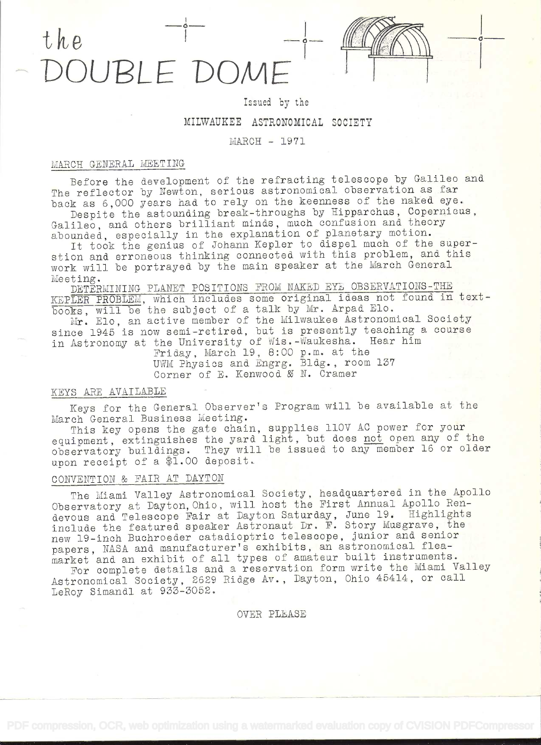# the<br>DOUBLE DOME

# Issued by the

-.1

### MILWAUKEE ASTRONOMICAL SOCIETY

# MARCH - 1971

#### MARCH GENERAL MEETING

Before the development of the refracting telescope by Galileo and The reflector by Newton, serious astronomical observation as far back as 6,000 years had to rely on the keenness of the naked eye.

Despite the astounding break-throughs by Hipparchus, Copernicus, Galileo, and others brilliant minds, much confusion and theory abounded, especially in the explanation of planetary motion.

It took the genius of Johann Kepler to dispel much of the superstion and erroneous thinking connected with this problem, and this work will be portrayed by the main speaker at the March General Meeting.

DETERMINING PLANET POSITIONS FROM NAKED EYE OBSERVATIONS-THE KEPLER PROBLEM, which includes some original ideas not found in textbooks, will be the subject of a talk by Mr. Arpad Elo. Mr. Elo, an active member of the Milwaukee Astronomical Society

since 1945 is now semi-retired, but is presently teaching a course in Astronomy at the University of Wis.-Waukesha. Hear him

Friday, March 19, 8:00 p.m. at the UWM Physics and Engrg. Bldg., room 137 Corner of E. Kenwood & N. Cramer

# KEYS ARE AVAILABLE

Keys for the General Observer's Program will be available at the March General Business Meeting.

This key opens the gate chain, supplies 110V AC power for your equipment, extinguishes the yard light, but does not open any of the observatory buildings. They will be issued to any member 16 or older upon receipt of a \$1.00 deposit.

# CONVENTION & FAIR AT DAYTON

The Miami Valley Astronomical Society, headquartered in the Apollo Observatory at Dayton, Ohio, will host the First Annual Apollo Rendevous and Telescope Fair at Dayton Saturday, June 19. Highlights include the featured speaker Astronaut Dr. F. Story Musgrave, the new 19-inch Buchroeder catadioptric telescope, junior and senior papers, NASA and manufacturer's exhibits, an astronomical fleamarket and an exhibit of all types of amateur built instruments.

For complete details and a reservation form write the Miami Valley Astronomical Society, 2629 Ridge Av. , Dayton, Ohio 45414, or call LeRoy Simandl at 933-3052.